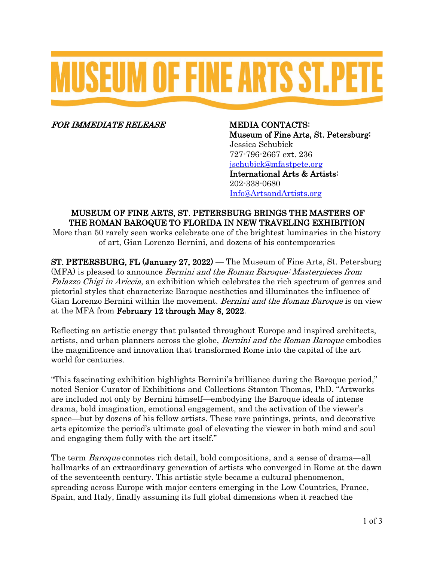# **MUSEUM OF FINE ARTS ST.PETI**

FOR IMMEDIATE RELEASE MEDIA CONTACTS:

Museum of Fine Arts, St. Petersburg: Jessica Schubick 727-796-2667 ext. 236 [jschubick@mfastpete.org](mailto:jschubick@mfastpete.org) International Arts & Artists: 202-338-0680 [Info@ArtsandArtists.org](mailto:Info@ArtsandArtists.org)

# MUSEUM OF FINE ARTS, ST. PETERSBURG BRINGS THE MASTERS OF THE ROMAN BAROQUE TO FLORIDA IN NEW TRAVELING EXHIBITION

More than 50 rarely seen works celebrate one of the brightest luminaries in the history of art, Gian Lorenzo Bernini, and dozens of his contemporaries

ST. PETERSBURG, FL (January 27, 2022) — The Museum of Fine Arts, St. Petersburg (MFA) is pleased to announce Bernini and the Roman Baroque: Masterpieces from Palazzo Chigi in Ariccia, an exhibition which celebrates the rich spectrum of genres and pictorial styles that characterize Baroque aesthetics and illuminates the influence of Gian Lorenzo Bernini within the movement. *Bernini and the Roman Baroque* is on view at the MFA from February 12 through May 8, 2022.

Reflecting an artistic energy that pulsated throughout Europe and inspired architects, artists, and urban planners across the globe, Bernini and the Roman Baroque embodies the magnificence and innovation that transformed Rome into the capital of the art world for centuries.

"This fascinating exhibition highlights Bernini's brilliance during the Baroque period," noted Senior Curator of Exhibitions and Collections Stanton Thomas, PhD. "Artworks are included not only by Bernini himself—embodying the Baroque ideals of intense drama, bold imagination, emotional engagement, and the activation of the viewer's space—but by dozens of his fellow artists. These rare paintings, prints, and decorative arts epitomize the period's ultimate goal of elevating the viewer in both mind and soul and engaging them fully with the art itself."

The term Baroque connotes rich detail, bold compositions, and a sense of drama—all hallmarks of an extraordinary generation of artists who converged in Rome at the dawn of the seventeenth century. This artistic style became a cultural phenomenon, spreading across Europe with major centers emerging in the Low Countries, France, Spain, and Italy, finally assuming its full global dimensions when it reached the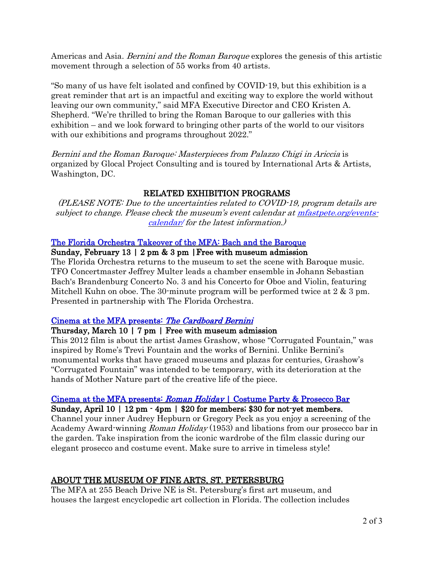Americas and Asia. *Bernini and the Roman Baroque* explores the genesis of this artistic movement through a selection of 55 works from 40 artists.

"So many of us have felt isolated and confined by COVID-19, but this exhibition is a great reminder that art is an impactful and exciting way to explore the world without leaving our own community," said MFA Executive Director and CEO Kristen A. Shepherd. "We're thrilled to bring the Roman Baroque to our galleries with this exhibition – and we look forward to bringing other parts of the world to our visitors with our exhibitions and programs throughout 2022."

Bernini and the Roman Baroque: Masterpieces from Palazzo Chigi in Ariccia is organized by Glocal Project Consulting and is toured by International Arts & Artists, Washington, DC.

## RELATED EXHIBITION PROGRAMS

(PLEASE NOTE: Due to the uncertainties related to COVID-19, program details are subject to change. Please check the museum's event calendar a[t mfastpete.org/events](https://mfastpete.org/events-calendar/)[calendar/](https://mfastpete.org/events-calendar/) for the latest information.)

#### [The Florida Orchestra Takeover of the MFA: Bach and the Baroque](https://mfastpete.org/event/the-florida-orchestra-performs-at-the-mfa-february2022/)

#### Sunday, February 13 | 2 pm & 3 pm |Free with museum admission

The Florida Orchestra returns to the museum to set the scene with Baroque music. TFO Concertmaster Jeffrey Multer leads a chamber ensemble in Johann Sebastian Bach's Brandenburg Concerto No. 3 and his Concerto for Oboe and Violin, featuring Mitchell Kuhn on oboe. The 30-minute program will be performed twice at 2 & 3 pm. Presented in partnership with The Florida Orchestra.

#### [Cinema at the MFA presents:](https://mfastpete.org/event/film-screening-cardboard-bernini/) The Cardboard Bernini

#### Thursday, March 10 | 7 pm | Free with museum admission

This 2012 film is about the artist James Grashow, whose "Corrugated Fountain," was inspired by Rome's Trevi Fountain and the works of Bernini. Unlike Bernini's monumental works that have graced museums and plazas for centuries, Grashow's "Corrugated Fountain" was intended to be temporary, with its deterioration at the hands of Mother Nature part of the creative life of the piece.

## Cinema at the MFA presents: Roman Holiday [| Costume Party & Prosecco Bar](https://mfastpete.org/event/film-screening-roman-holiday/)

#### Sunday, April 10 | 12 pm - 4pm | \$20 for members; \$30 for not-yet members.

Channel your inner Audrey Hepburn or Gregory Peck as you enjoy a screening of the Academy Award-winning Roman Holiday (1953) and libations from our prosecco bar in the garden. Take inspiration from the iconic wardrobe of the film classic during our elegant prosecco and costume event. Make sure to arrive in timeless style!

# ABOUT THE MUSEUM OF FINE ARTS, ST. PETERSBURG

The MFA at 255 Beach Drive NE is St. Petersburg's first art museum, and houses the largest encyclopedic art collection in Florida. The collection includes